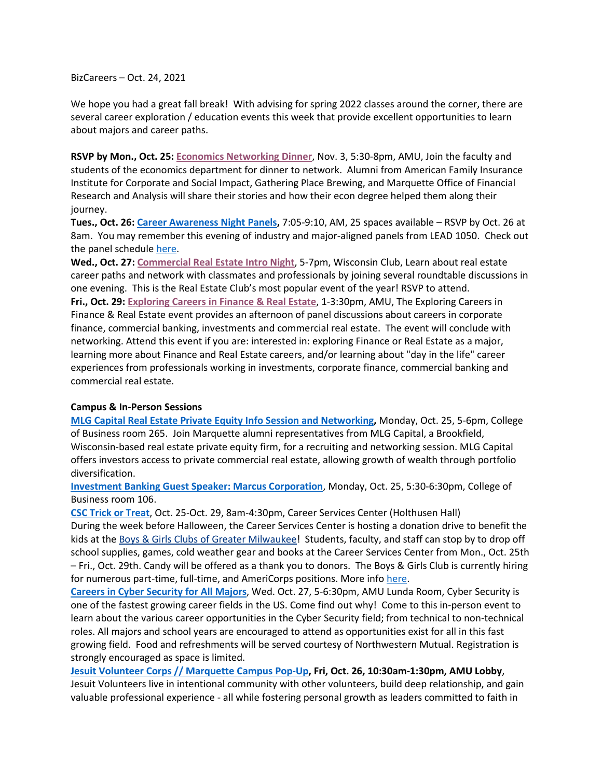BizCareers – Oct. 24, 2021

We hope you had a great fall break! With advising for spring 2022 classes around the corner, there are several career exploration / education events this week that provide excellent opportunities to learn about majors and career paths.

**RSVP by Mon., Oct. 25[: Economics Networking Dinner](https://marquette.joinhandshake.com/events/872694/share_preview)**, Nov. 3, 5:30-8pm, AMU, Join the faculty and students of the economics department for dinner to network. Alumni from American Family Insurance Institute for Corporate and Social Impact, Gathering Place Brewing, and Marquette Office of Financial Research and Analysis will share their stories and how their econ degree helped them along their journey.

**Tues., Oct. 26[: Career Awareness Night](https://marquette.joinhandshake.com/events/881936/share_preview) Panels,** 7:05-9:10, AM, 25 spaces available – RSVP by Oct. 26 at 8am. You may remember this evening of industry and major-aligned panels from LEAD 1050. Check out the panel schedule [here.](https://marq-my.sharepoint.com/:b:/g/personal/karen_rinehart_marquette_edu/EaMN8hklRLNJskXSNUYXkUABFrk_201j133nt9cbKg_RLg?e=9C7Qg4)

**Wed., Oct. 27[: Commercial Real Estate Intro Night](https://marquette.joinhandshake.com/events/874421/share_preview)**, 5-7pm, Wisconsin Club, Learn about real estate career paths and network with classmates and professionals by joining several roundtable discussions in one evening. This is the Real Estate Club's most popular event of the year! RSVP to attend.

**Fri., Oct. 29: [Exploring Careers in Finance & Real Estate](https://marquette.joinhandshake.com/events/876488/share_preview)**, 1-3:30pm, AMU, The Exploring Careers in Finance & Real Estate event provides an afternoon of panel discussions about careers in corporate finance, commercial banking, investments and commercial real estate. The event will conclude with networking. Attend this event if you are: interested in: exploring Finance or Real Estate as a major, learning more about Finance and Real Estate careers, and/or learning about "day in the life" career experiences from professionals working in investments, corporate finance, commercial banking and commercial real estate.

#### **Campus & In-Person Sessions**

**[MLG Capital Real Estate Private Equity Info Session and Networking,](https://marquette.joinhandshake.com/events/872036/share_preview)** Monday, Oct. 25, 5-6pm, College of Business room 265. Join Marquette alumni representatives from MLG Capital, a Brookfield, Wisconsin-based real estate private equity firm, for a recruiting and networking session. MLG Capital offers investors access to private commercial real estate, allowing growth of wealth through portfolio diversification.

**[Investment Banking Guest Speaker: Marcus Corporation](https://marquette.joinhandshake.com/events/818288/share_preview)**, Monday, Oct. 25, 5:30-6:30pm, College of Business room 106.

**[CSC Trick or Treat](https://marquette.joinhandshake.com/events/874828/share_preview)**, Oct. 25-Oct. 29, 8am-4:30pm, Career Services Center (Holthusen Hall) During the week before Halloween, the Career Services Center is hosting a donation drive to benefit the kids at the [Boys & Girls Clubs of Greater Milwaukee!](https://nam02.safelinks.protection.outlook.com/?url=https%3A%2F%2Femail.mail.joinhandshake.com%2Fc%2FeJxlkE1uhDAMhU8Du6L8AZlFFlSIC_QAkQmeIR2S0CQsevtm6Ew3lbywvic_P3tRUppZ1lYxwigltKWStZQ1tOnHd0l73g0DJ3SiYyWIA7s1n8H6FfySVrhjY4KrV8V6MOI6Q8e5uUi8dvzCGAgjZzTEgKg3tea8p4oPFZtKOYhfB-aM_-2Kim7fwjfGVPqWdZLIik9biBUfScW6IzudwhENFuAgJf0IhvEpOVzs4YqED_yEJviMPhd6aUkrxAuD28HefOGHtzpDvGHGRZ-jqY7qDhF9E63HFWI-f_BKjstRZ0WFePswawhb_XeGPkOdHtou6nfjD2_vdzk&data=04%7C01%7Ckaren.rinehart%40marquette.edu%7C7af0055465434d2c646a08d9900922e7%7Cabe32f68c72d420db5bd750c63a268e4%7C0%7C0%7C637699191196105073%7CUnknown%7CTWFpbGZsb3d8eyJWIjoiMC4wLjAwMDAiLCJQIjoiV2luMzIiLCJBTiI6Ik1haWwiLCJXVCI6Mn0%3D%7C1000&sdata=vnqkuzAomrPoVVs3p2O0cOkdhmblSxkYODvmjcGcW58%3D&reserved=0) Students, faculty, and staff can stop by to drop off school supplies, games, cold weather gear and books at the Career Services Center from Mon., Oct. 25th – Fri., Oct. 29th. Candy will be offered as a thank you to donors. The Boys & Girls Club is currently hiring for numerous part-time, full-time, and AmeriCorps positions. More info [here.](https://nam02.safelinks.protection.outlook.com/?url=https%3A%2F%2Fwww.bgcmilwaukee.org%2Fcareers%2F&data=04%7C01%7Ckaren.rinehart%40marquette.edu%7C71fd9f412fbe4d276c0508d98f428b33%7Cabe32f68c72d420db5bd750c63a268e4%7C0%7C0%7C637698338220754786%7CUnknown%7CTWFpbGZsb3d8eyJWIjoiMC4wLjAwMDAiLCJQIjoiV2luMzIiLCJBTiI6Ik1haWwiLCJXVCI6Mn0%3D%7C1000&sdata=MnbvMsaOZejzheKYp4uW%2BK9Qsw9iAVIL6vq4Tu2XNII%3D&reserved=0)

**[Careers in Cyber Security for All Majors](https://marquette.joinhandshake.com/events/843928/share_preview)**, Wed. Oct. 27, 5-6:30pm, AMU Lunda Room, Cyber Security is one of the fastest growing career fields in the US. Come find out why! Come to this in-person event to learn about the various career opportunities in the Cyber Security field; from technical to non-technical roles. All majors and school years are encouraged to attend as opportunities exist for all in this fast growing field. Food and refreshments will be served courtesy of Northwestern Mutual. Registration is strongly encouraged as space is limited.

**[Jesuit Volunteer Corps // Marquette Campus Pop-Up,](https://marquette.joinhandshake.com/events/876992/share_preview) Fri, Oct. 26, 10:30am-1:30pm, AMU Lobby**, Jesuit Volunteers live in intentional community with other volunteers, build deep relationship, and gain valuable professional experience - all while fostering personal growth as leaders committed to faith in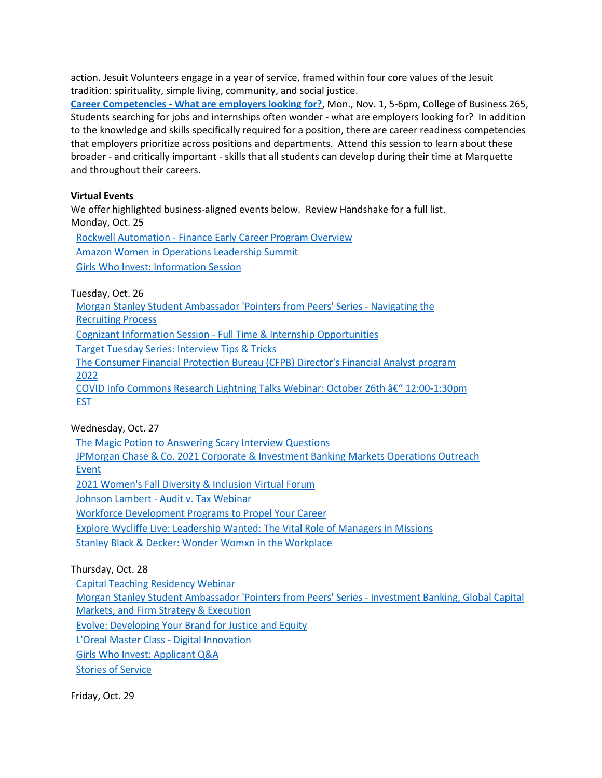action. Jesuit Volunteers engage in a year of service, framed within four core values of the Jesuit tradition: spirituality, simple living, community, and social justice.

**Career Competencies - [What are employers looking for?](https://marquette.joinhandshake.com/events/788746/share_preview)**, Mon., Nov. 1, 5-6pm, College of Business 265, Students searching for jobs and internships often wonder - what are employers looking for? In addition to the knowledge and skills specifically required for a position, there are career readiness competencies that employers prioritize across positions and departments. Attend this session to learn about these broader - and critically important - skills that all students can develop during their time at Marquette and throughout their careers.

## **Virtual Events**

We offer highlighted business-aligned events below. Review Handshake for a full list. Monday, Oct. 25

Rockwell Automation - [Finance Early Career Program Overview](https://marquette.joinhandshake.com/events/878123/share_preview) [Amazon Women in Operations Leadership Summit](https://marquette.joinhandshake.com/events/877928/share_preview) [Girls Who Invest: Information Session](https://marquette.joinhandshake.com/events/832003/share_preview)

Tuesday, Oct. 26

[Morgan Stanley Student Ambassador 'Pointers from Peers' Series -](https://marquette.joinhandshake.com/events/876655/share_preview) Navigating the [Recruiting Process](https://marquette.joinhandshake.com/events/876655/share_preview) Cognizant Information Session - [Full Time & Internship Opportunities](https://marquette.joinhandshake.com/events/874264/share_preview) [Target Tuesday Series: Interview Tips & Tricks](https://marquette.joinhandshake.com/events/871781/share_preview) [The Consumer Financial Protection Bureau \(CFPB\) Director's Financial Analyst program](https://marquette.joinhandshake.com/events/864005/share_preview)  [2022](https://marquette.joinhandshake.com/events/864005/share_preview) COVID Info Commons Research Lightning Talks Webinar: October 26th â€<sup>"</sup> 12:00-1:30pm [EST](https://marquette.joinhandshake.com/events/863760/share_preview)

# Wednesday, Oct. 27

[The Magic Potion to Answering Scary Interview Questions](https://marquette.joinhandshake.com/events/877891/share_preview)

[JPMorgan Chase & Co. 2021 Corporate & Investment Banking Markets Operations Outreach](https://marquette.joinhandshake.com/events/876472/share_preview)  [Event](https://marquette.joinhandshake.com/events/876472/share_preview)

[2021 Women's Fall Diversity & Inclusion Virtual Forum](https://marquette.joinhandshake.com/events/866833/share_preview)

Johnson Lambert - [Audit v. Tax Webinar](https://marquette.joinhandshake.com/events/865779/share_preview) 

[Workforce Development Programs to Propel Your Career](https://marquette.joinhandshake.com/events/856616/share_preview) 

[Explore Wycliffe Live: Leadership Wanted: The Vital Role of Managers in Missions](https://marquette.joinhandshake.com/events/830506/share_preview)

[Stanley Black & Decker: Wonder Womxn in the Workplace](https://marquette.joinhandshake.com/events/823752/share_preview)

# Thursday, Oct. 28

[Capital Teaching Residency Webinar](https://marquette.joinhandshake.com/events/878346/share_preview)

[Morgan Stanley Student Ambassador 'Pointers from Peers' Series -](https://marquette.joinhandshake.com/events/876672/share_preview) Investment Banking, Global Capital [Markets, and Firm Strategy & Execution](https://marquette.joinhandshake.com/events/876672/share_preview)

[Evolve: Developing Your Brand for Justice and Equity](https://marquette.joinhandshake.com/events/874379/share_preview)

[L'Oreal Master Class -](https://marquette.joinhandshake.com/events/865183/share_preview) Digital Innovation

[Girls Who Invest: Applicant](https://marquette.joinhandshake.com/events/833152/share_preview) Q&A

[Stories of Service](https://marquette.joinhandshake.com/events/788763/share_preview)

Friday, Oct. 29